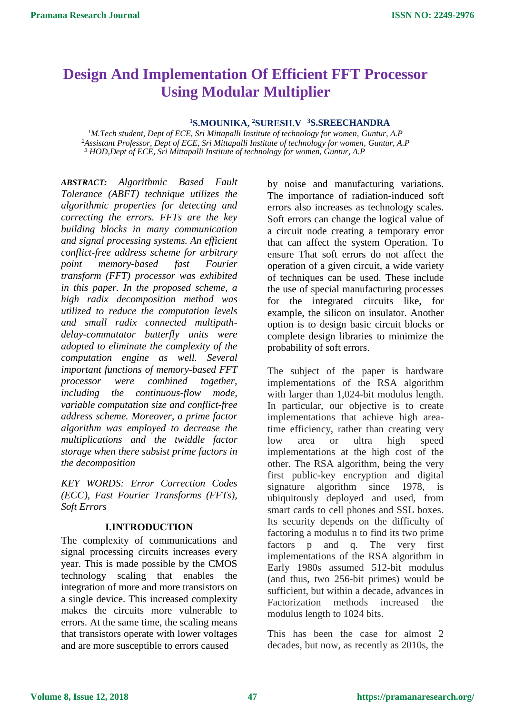# **Design And Implementation Of Efficient FFT Processor Using Modular Multiplier**

#### **<sup>1</sup>S.MOUNIKA, <sup>2</sup>SURESH.V <sup>3</sup>S.SREECHANDRA**

*<sup>1</sup>M.Tech student, Dept of ECE, Sri Mittapalli Institute of technology for women, Guntur, A.P <sup>2</sup>Assistant Professor, Dept of ECE, Sri Mittapalli Institute of technology for women, Guntur, A.P 3 HOD,Dept of ECE, Sri Mittapalli Institute of technology for women, Guntur, A.P*

*ABSTRACT: Algorithmic Based Fault Tolerance (ABFT) technique utilizes the algorithmic properties for detecting and correcting the errors. FFTs are the key building blocks in many communication and signal processing systems. An efficient conflict-free address scheme for arbitrary point memory-based fast Fourier transform (FFT) processor was exhibited in this paper. In the proposed scheme, a high radix decomposition method was utilized to reduce the computation levels and small radix connected multipathdelay-commutator butterfly units were adopted to eliminate the complexity of the computation engine as well. Several important functions of memory-based FFT processor were combined together, including the continuous-flow mode, variable computation size and conflict-free address scheme. Moreover, a prime factor algorithm was employed to decrease the multiplications and the twiddle factor storage when there subsist prime factors in the decomposition*

*KEY WORDS: Error Correction Codes (ECC), Fast Fourier Transforms (FFTs), Soft Errors*

#### **I.INTRODUCTION**

The complexity of communications and signal processing circuits increases every year. This is made possible by the CMOS technology scaling that enables the integration of more and more transistors on a single device. This increased complexity makes the circuits more vulnerable to errors. At the same time, the scaling means that transistors operate with lower voltages and are more susceptible to errors caused

by noise and manufacturing variations. The importance of radiation-induced soft errors also increases as technology scales. Soft errors can change the logical value of a circuit node creating a temporary error that can affect the system Operation. To ensure That soft errors do not affect the operation of a given circuit, a wide variety of techniques can be used. These include the use of special manufacturing processes for the integrated circuits like, for example, the silicon on insulator. Another option is to design basic circuit blocks or complete design libraries to minimize the probability of soft errors.

The subject of the paper is hardware implementations of the RSA algorithm with larger than 1,024-bit modulus length. In particular, our objective is to create implementations that achieve high areatime efficiency, rather than creating very low area or ultra high speed implementations at the high cost of the other. The RSA algorithm, being the very first public-key encryption and digital signature algorithm since 1978, is ubiquitously deployed and used, from smart cards to cell phones and SSL boxes. Its security depends on the difficulty of factoring a modulus n to find its two prime factors p and q. The very first implementations of the RSA algorithm in Early 1980s assumed 512-bit modulus (and thus, two 256-bit primes) would be sufficient, but within a decade, advances in Factorization methods increased the modulus length to 1024 bits.

This has been the case for almost 2 decades, but now, as recently as 2010s, the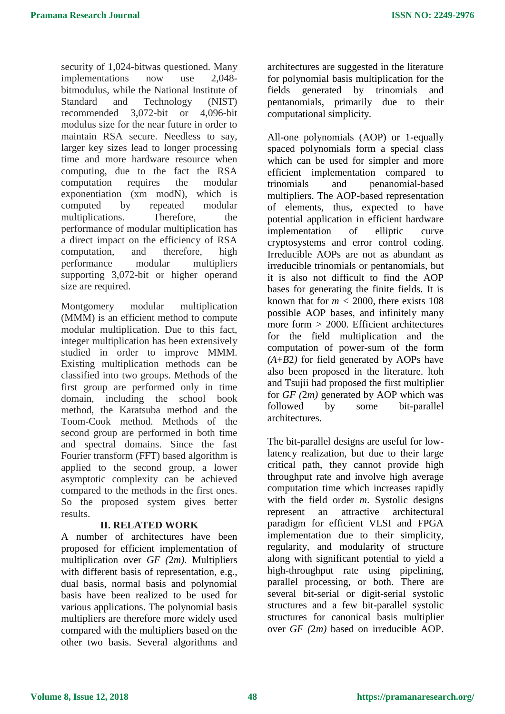security of 1,024-bitwas questioned. Many implementations now use 2,048 bitmodulus, while the National Institute of Standard and Technology (NIST) recommended 3,072-bit or 4,096-bit modulus size for the near future in order to maintain RSA secure. Needless to say, larger key sizes lead to longer processing time and more hardware resource when computing, due to the fact the RSA computation requires the modular exponentiation (xm modN), which is computed by repeated modular multiplications. Therefore, the performance of modular multiplication has a direct impact on the efficiency of RSA computation, and therefore, high performance modular multipliers supporting 3,072-bit or higher operand size are required.

Montgomery modular multiplication (MMM) is an efficient method to compute modular multiplication. Due to this fact, integer multiplication has been extensively studied in order to improve MMM. Existing multiplication methods can be classified into two groups. Methods of the first group are performed only in time domain, including the school book method, the Karatsuba method and the Toom-Cook method. Methods of the second group are performed in both time and spectral domains. Since the fast Fourier transform (FFT) based algorithm is applied to the second group, a lower asymptotic complexity can be achieved compared to the methods in the first ones. So the proposed system gives better results.

## **II. RELATED WORK**

A number of architectures have been proposed for efficient implementation of multiplication over *GF (*2*m)*. Multipliers with different basis of representation, e.g., dual basis, normal basis and polynomial basis have been realized to be used for various applications. The polynomial basis multipliers are therefore more widely used compared with the multipliers based on the other two basis. Several algorithms and

architectures are suggested in the literature for polynomial basis multiplication for the fields generated by trinomials and pentanomials, primarily due to their computational simplicity.

All-one polynomials (AOP) or 1-equally spaced polynomials form a special class which can be used for simpler and more efficient implementation compared to trinomials and penanomial-based multipliers. The AOP-based representation of elements, thus, expected to have potential application in efficient hardware implementation of elliptic curve cryptosystems and error control coding. Irreducible AOPs are not as abundant as irreducible trinomials or pentanomials, but it is also not difficult to find the AOP bases for generating the finite fields. It is known that for  $m < 2000$ , there exists 108 possible AOP bases, and infinitely many more form *>* 2000. Efficient architectures for the field multiplication and the computation of power-sum of the form *(A*+*B*2*)* for field generated by AOPs have also been proposed in the literature. ltoh and Tsujii had proposed the first multiplier for *GF (*2*m)* generated by AOP which was followed by some bit-parallel architectures.

The bit-parallel designs are useful for lowlatency realization, but due to their large critical path, they cannot provide high throughput rate and involve high average computation time which increases rapidly with the field order *m*. Systolic designs represent an attractive architectural paradigm for efficient VLSI and FPGA implementation due to their simplicity, regularity, and modularity of structure along with significant potential to yield a high-throughput rate using pipelining, parallel processing, or both. There are several bit-serial or digit-serial systolic structures and a few bit-parallel systolic structures for canonical basis multiplier over *GF (*2*m)* based on irreducible AOP.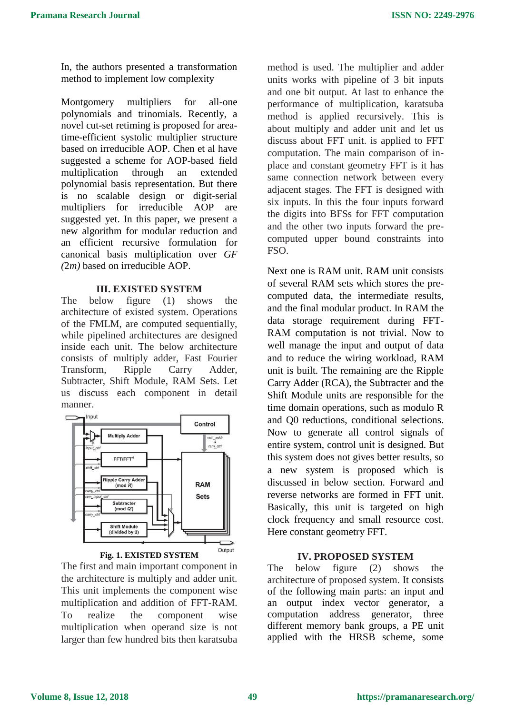In, the authors presented a transformation method to implement low complexity

Montgomery multipliers for all-one polynomials and trinomials. Recently, a novel cut-set retiming is proposed for areatime-efficient systolic multiplier structure based on irreducible AOP. Chen et al have suggested a scheme for AOP-based field multiplication through an extended polynomial basis representation. But there is no scalable design or digit-serial multipliers for irreducible AOP are suggested yet. In this paper, we present a new algorithm for modular reduction and an efficient recursive formulation for canonical basis multiplication over *GF (*2*m)* based on irreducible AOP.

## **III. EXISTED SYSTEM**

The below figure (1) shows the architecture of existed system. Operations of the FMLM, are computed sequentially, while pipelined architectures are designed inside each unit. The below architecture consists of multiply adder, Fast Fourier Transform, Ripple Carry Adder, Subtracter, Shift Module, RAM Sets. Let us discuss each component in detail manner.



#### **Fig. 1. EXISTED SYSTEM**

The first and main important component in the architecture is multiply and adder unit. This unit implements the component wise multiplication and addition of FFT-RAM. To realize the component wise multiplication when operand size is not larger than few hundred bits then karatsuba

method is used. The multiplier and adder units works with pipeline of 3 bit inputs and one bit output. At last to enhance the performance of multiplication, karatsuba method is applied recursively. This is about multiply and adder unit and let us discuss about FFT unit. is applied to FFT computation. The main comparison of inplace and constant geometry FFT is it has same connection network between every adjacent stages. The FFT is designed with six inputs. In this the four inputs forward the digits into BFSs for FFT computation and the other two inputs forward the precomputed upper bound constraints into FSO.

Next one is RAM unit. RAM unit consists of several RAM sets which stores the precomputed data, the intermediate results, and the final modular product. In RAM the data storage requirement during FFT-RAM computation is not trivial. Now to well manage the input and output of data and to reduce the wiring workload, RAM unit is built. The remaining are the Ripple Carry Adder (RCA), the Subtracter and the Shift Module units are responsible for the time domain operations, such as modulo R and Q0 reductions, conditional selections. Now to generate all control signals of entire system, control unit is designed. But this system does not gives better results, so a new system is proposed which is discussed in below section. Forward and reverse networks are formed in FFT unit. Basically, this unit is targeted on high clock frequency and small resource cost. Here constant geometry FFT.

# **IV. PROPOSED SYSTEM**

The below figure (2) shows the architecture of proposed system. It consists of the following main parts: an input and an output index vector generator, a computation address generator, three different memory bank groups, a PE unit applied with the HRSB scheme, some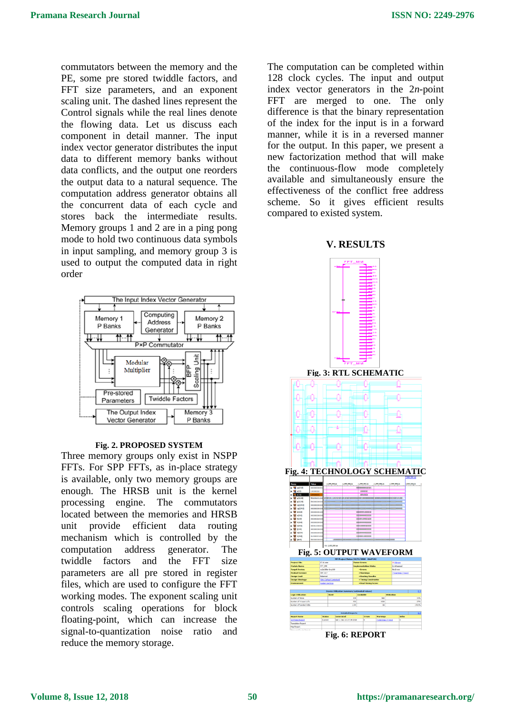commutators between the memory and the PE, some pre stored twiddle factors, and FFT size parameters, and an exponent scaling unit. The dashed lines represent the Control signals while the real lines denote the flowing data. Let us discuss each component in detail manner. The input index vector generator distributes the input data to different memory banks without data conflicts, and the output one reorders the output data to a natural sequence. The computation address generator obtains all the concurrent data of each cycle and stores back the intermediate results. Memory groups 1 and 2 are in a ping pong mode to hold two continuous data symbols in input sampling, and memory group 3 is used to output the computed data in right order



#### **Fig. 2. PROPOSED SYSTEM**

Three memory groups only exist in NSPP FFTs. For SPP FFTs, as in-place strategy is available, only two memory groups are enough. The HRSB unit is the kernel processing engine. The commutators located between the memories and HRSB unit provide efficient data routing mechanism which is controlled by the computation address generator. The twiddle factors and the FFT size parameters are all pre stored in register files, which are used to configure the FFT working modes. The exponent scaling unit controls scaling operations for block floating-point, which can increase the signal-to-quantization noise ratio and reduce the memory storage.

The computation can be completed within 128 clock cycles. The input and output index vector generators in the 2*n*-point FFT are merged to one. The only difference is that the binary representation of the index for the input is in a forward manner, while it is in a reversed manner for the output. In this paper, we present a new factorization method that will make the continuous-flow mode completely available and simultaneously ensure the effectiveness of the conflict free address scheme. So it gives efficient results compared to existed system.